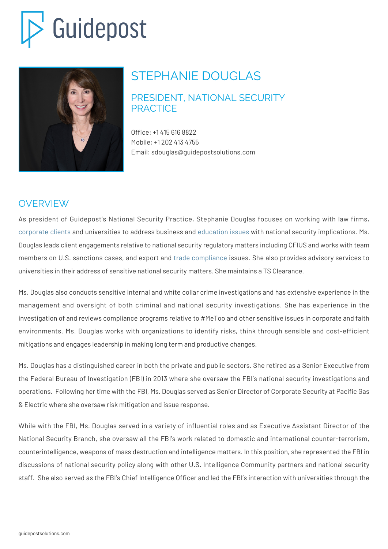# Guidepost



# STEPHANIE DOUGLAS

#### PRESIDENT, NATIONAL SECURITY **PRACTICE**

Office: +1 415 616 8822 Mobile: +1 202 413 4755 Email: sdouglas@guidepostsolutions.com

## OVERVIEW

As president of Guidepost's National Security Practice, Stephanie Douglas focuses on working with law firms, [corporate clients](https://guidepostsolutions.com/solutions/investigations-business-intelligence/) and universities to address business and [education issues](https://guidepostsolutions.com/solutions/education-security/) with national security implications. Ms. Douglas leads client engagements relative to national security regulatory matters including CFIUS and works with team members on U.S. sanctions cases, and export and [trade compliance](https://guidepostsolutions.com/solutions/trade-compliance/) issues. She also provides advisory services to universities in their address of sensitive national security matters. She maintains a TS Clearance.

Ms. Douglas also conducts sensitive internal and white collar crime investigations and has extensive experience in the management and oversight of both criminal and national security investigations. She has experience in the investigation of and reviews compliance programs relative to #MeToo and other sensitive issues in corporate and faith environments. Ms. Douglas works with organizations to identify risks, think through sensible and cost-efficient mitigations and engages leadership in making long term and productive changes.

Ms. Douglas has a distinguished career in both the private and public sectors. She retired as a Senior Executive from the Federal Bureau of Investigation (FBI) in 2013 where she oversaw the FBI's national security investigations and operations. Following her time with the FBI, Ms. Douglas served as Senior Director of Corporate Security at Pacific Gas & Electric where she oversaw risk mitigation and issue response.

While with the FBI, Ms. Douglas served in a variety of influential roles and as Executive Assistant Director of the National Security Branch, she oversaw all the FBI's work related to domestic and international counter-terrorism, counterintelligence, weapons of mass destruction and intelligence matters. In this position, she represented the FBI in discussions of national security policy along with other U.S. Intelligence Community partners and national security staff. She also served as the FBI's Chief Intelligence Officer and led the FBI's interaction with universities through the